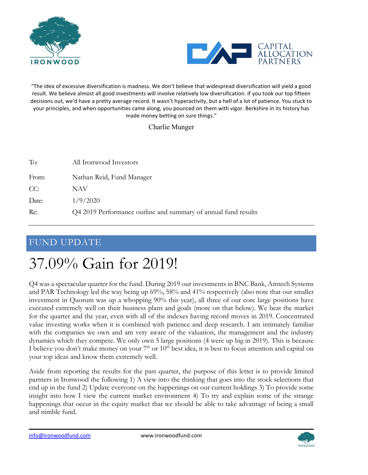



"The idea of excessive diversification is madness. We don't believe that widespread diversification will yield a good result. We believe almost all good investments will involve relatively low diversification. If you took our top fifteen decisions out, we'd have a pretty average record. It wasn't hyperactivity, but a hell of a lot of patience. You stuck to your principles, and when opportunities came along, you pounced on them with vigor. Berkshire in its history has made money betting on sure things."

Charlie Munger

| To:   | All Ironwood Investors                                         |
|-------|----------------------------------------------------------------|
| From: | Nathan Reid, Fund Manager                                      |
| CC:   | NAV                                                            |
| Date: | 1/9/2020                                                       |
| Re:   | Q4 2019 Performance outline and summary of annual fund results |

#### FUND UPDATE

# 37.09% Gain for 2019!

Q4 was a spectacular quarter for the fund. During 2019 our investments in BNC Bank, Amtech Systems and PAR Technology led the way being up 69%, 58% and 41% respectively (also note that our smaller investment in Quorum was up a whopping 90% this year), all three of our core large positions have executed extremely well on their business plans and goals (more on that below). We beat the market for the quarter and the year, even with all of the indexes having record moves in 2019. Concentrated value investing works when it is combined with patience and deep research. I am intimately familiar with the companies we own and am very aware of the valuation, the management and the industry dynamics which they compete. We only own 5 large positions (4 were up big in 2019). This is because I believe you don't make money on your  $7<sup>th</sup>$  or  $10<sup>th</sup>$  best idea, it is best to focus attention and capital on your top ideas and know them extremely well.

Aside from reporting the results for the past quarter, the purpose of this letter is to provide limited partners in Ironwood the following 1) A view into the thinking that goes into the stock selections that end up in the fund 2) Update everyone on the happenings on our current holdings 3) To provide some insight into how I view the current market environment 4) To try and explain some of the strange happenings that occur in the equity market that we should be able to take advantage of being a small and nimble fund.

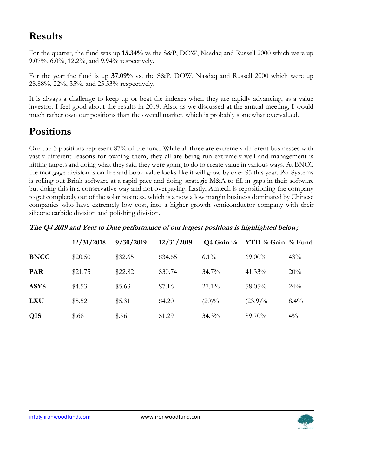# **Results**

For the quarter, the fund was up **15.34%** vs the S&P, DOW, Nasdaq and Russell 2000 which were up 9.07%, 6.0%, 12.2%, and 9.94% respectively.

For the year the fund is up **37.09%** vs. the S&P, DOW, Nasdaq and Russell 2000 which were up 28.88%, 22%, 35%, and 25.53% respectively.

It is always a challenge to keep up or beat the indexes when they are rapidly advancing, as a value investor. I feel good about the results in 2019. Also, as we discussed at the annual meeting, I would much rather own our positions than the overall market, which is probably somewhat overvalued.

# **Positions**

Our top 3 positions represent 87% of the fund. While all three are extremely different businesses with vastly different reasons for owning them, they all are being run extremely well and management is hitting targets and doing what they said they were going to do to create value in various ways. At BNCC the mortgage division is on fire and book value looks like it will grow by over \$5 this year. Par Systems is rolling out Brink software at a rapid pace and doing strategic M&A to fill in gaps in their software but doing this in a conservative way and not overpaying. Lastly, Amtech is repositioning the company to get completely out of the solar business, which is a now a low margin business dominated by Chinese companies who have extremely low cost, into a higher growth semiconductor company with their silicone carbide division and polishing division.

**The Q4 2019 and Year to Date performance of our largest positions is highlighted below;**

|             | 12/31/2018 | 9/30/2019 | 12/31/2019 | $Q4$ Gain $%$ | YTD % Gain % Fund |         |
|-------------|------------|-----------|------------|---------------|-------------------|---------|
| <b>BNCC</b> | \$20.50    | \$32.65   | \$34.65    | $6.1\%$       | $69.00\%$         | 43%     |
| <b>PAR</b>  | \$21.75    | \$22.82   | \$30.74    | $34.7\%$      | 41.33%            | 20%     |
| <b>ASYS</b> | \$4.53     | \$5.63    | \$7.16     | $27.1\%$      | 58.05%            | 24%     |
| <b>LXU</b>  | \$5.52     | \$5.31    | \$4.20     | $(20)\%$      | $(23.9)\%$        | $8.4\%$ |
| <b>QIS</b>  | \$.68      | \$.96     | \$1.29     | $34.3\%$      | 89.70%            | $4\%$   |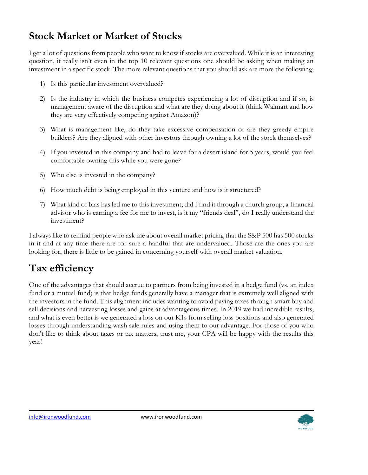# **Stock Market or Market of Stocks**

I get a lot of questions from people who want to know if stocks are overvalued. While it is an interesting question, it really isn't even in the top 10 relevant questions one should be asking when making an investment in a specific stock. The more relevant questions that you should ask are more the following;

- 1) Is this particular investment overvalued?
- 2) Is the industry in which the business competes experiencing a lot of disruption and if so, is management aware of the disruption and what are they doing about it (think Walmart and how they are very effectively competing against Amazon)?
- 3) What is management like, do they take excessive compensation or are they greedy empire builders? Are they aligned with other investors through owning a lot of the stock themselves?
- 4) If you invested in this company and had to leave for a desert island for 5 years, would you feel comfortable owning this while you were gone?
- 5) Who else is invested in the company?
- 6) How much debt is being employed in this venture and how is it structured?
- 7) What kind of bias has led me to this investment, did I find it through a church group, a financial advisor who is earning a fee for me to invest, is it my "friends deal", do I really understand the investment?

I always like to remind people who ask me about overall market pricing that the S&P 500 has 500 stocks in it and at any time there are for sure a handful that are undervalued. Those are the ones you are looking for, there is little to be gained in concerning yourself with overall market valuation.

# **Tax efficiency**

One of the advantages that should accrue to partners from being invested in a hedge fund (vs. an index fund or a mutual fund) is that hedge funds generally have a manager that is extremely well aligned with the investors in the fund. This alignment includes wanting to avoid paying taxes through smart buy and sell decisions and harvesting losses and gains at advantageous times. In 2019 we had incredible results, and what is even better is we generated a loss on our K1s from selling loss positions and also generated losses through understanding wash sale rules and using them to our advantage. For those of you who don't like to think about taxes or tax matters, trust me, your CPA will be happy with the results this year!

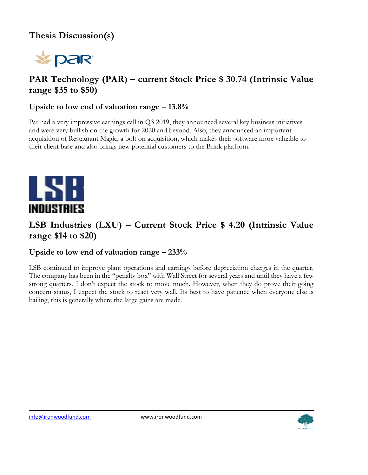## **Thesis Discussion(s)**



## **PAR Technology (PAR) – current Stock Price \$ 30.74 (Intrinsic Value range \$35 to \$50)**

#### **Upside to low end of valuation range – 13.8%**

Par had a very impressive earnings call in Q3 2019, they announced several key business initiatives and were very bullish on the growth for 2020 and beyond. Also, they announced an important acquisition of Restaurant Magic, a bolt on acquisition, which makes their software more valuable to their client base and also brings new potential customers to the Brink platform.



## **LSB Industries (LXU) – Current Stock Price \$ 4.20 (Intrinsic Value range \$14 to \$20)**

#### **Upside to low end of valuation range – 233%**

LSB continued to improve plant operations and earnings before depreciation charges in the quarter. The company has been in the "penalty box" with Wall Street for several years and until they have a few strong quarters, I don't expect the stock to move much. However, when they do prove their going concern status, I expect the stock to react very well. Its best to have patience when everyone else is bailing, this is generally where the large gains are made.

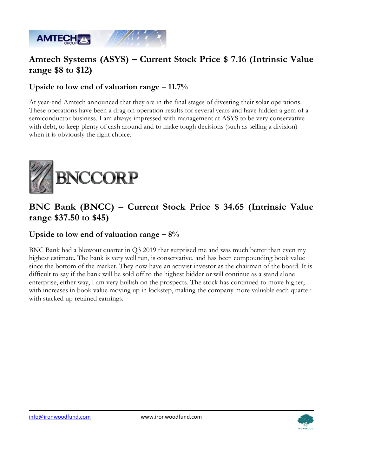

## **Amtech Systems (ASYS) – Current Stock Price \$ 7.16 (Intrinsic Value range \$8 to \$12)**

#### **Upside to low end of valuation range – 11.7%**

At year-end Amtech announced that they are in the final stages of divesting their solar operations. These operations have been a drag on operation results for several years and have hidden a gem of a semiconductor business. I am always impressed with management at ASYS to be very conservative with debt, to keep plenty of cash around and to make tough decisions (such as selling a division) when it is obviously the right choice.



#### **BNC Bank (BNCC) – Current Stock Price \$ 34.65 (Intrinsic Value range \$37.50 to \$45)**

#### **Upside to low end of valuation range – 8%**

BNC Bank had a blowout quarter in Q3 2019 that surprised me and was much better than even my highest estimate. The bank is very well run, is conservative, and has been compounding book value since the bottom of the market. They now have an activist investor as the chairman of the board. It is difficult to say if the bank will be sold off to the highest bidder or will continue as a stand alone enterprise, either way, I am very bullish on the prospects. The stock has continued to move higher, with increases in book value moving up in lockstep, making the company more valuable each quarter with stacked up retained earnings.